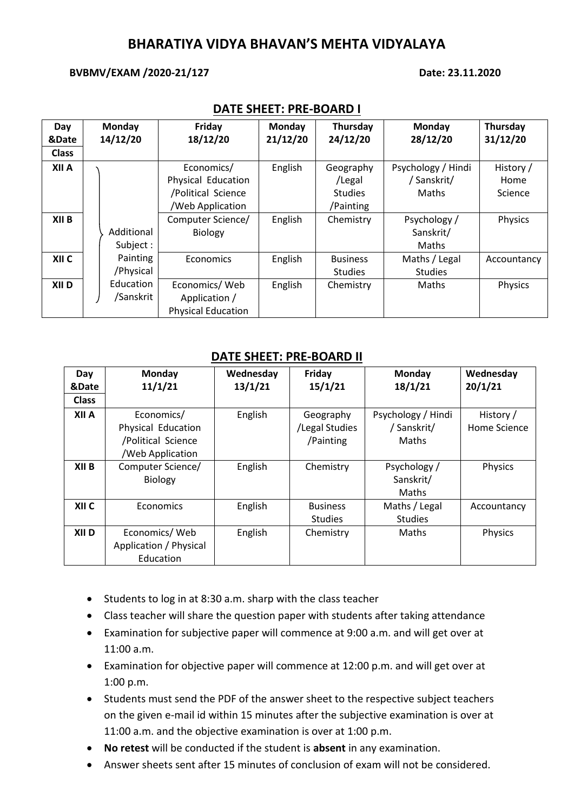## **BHARATIYA VIDYA BHAVAN'S MEHTA VIDYALAYA**

#### **BVBMV/EXAM /2020-21/127 Date: 23.11.2020**

| Day              | <b>Monday</b> | Friday                    | Monday   | Thursday        | Monday             | Thursday    |
|------------------|---------------|---------------------------|----------|-----------------|--------------------|-------------|
| &Date            | 14/12/20      | 18/12/20                  | 21/12/20 | 24/12/20        | 28/12/20           | 31/12/20    |
| <b>Class</b>     |               |                           |          |                 |                    |             |
| XII A            |               | Economics/                | English  | Geography       | Psychology / Hindi | History /   |
|                  |               | Physical Education        |          | /Legal          | / Sanskrit/        | Home        |
|                  |               | /Political Science        |          | <b>Studies</b>  | Maths              | Science     |
|                  |               | /Web Application          |          | /Painting       |                    |             |
| XII B            |               | Computer Science/         | English  | Chemistry       | Psychology /       | Physics     |
|                  | Additional    | <b>Biology</b>            |          |                 | Sanskrit/          |             |
|                  | Subject :     |                           |          |                 | Maths              |             |
| XII C            | Painting      | Economics                 | English  | <b>Business</b> | Maths / Legal      | Accountancy |
|                  | /Physical     |                           |          | <b>Studies</b>  | <b>Studies</b>     |             |
| XII <sub>D</sub> | Education     | Economics/Web             | English  | Chemistry       | Maths              | Physics     |
|                  | /Sanskrit     | Application /             |          |                 |                    |             |
|                  |               | <b>Physical Education</b> |          |                 |                    |             |

### **DATE SHEET: PRE-BOARD I**

#### **DATE SHEET: PRE-BOARD II**

| Day<br>&Date | Monday<br>11/1/21                                                          | Wednesday<br>13/1/21 | Friday<br>15/1/21                        | Monday<br>18/1/21                          | Wednesday<br>20/1/21      |
|--------------|----------------------------------------------------------------------------|----------------------|------------------------------------------|--------------------------------------------|---------------------------|
| <b>Class</b> |                                                                            |                      |                                          |                                            |                           |
| XII A        | Economics/<br>Physical Education<br>/Political Science<br>/Web Application | English              | Geography<br>/Legal Studies<br>/Painting | Psychology / Hindi<br>/ Sanskrit/<br>Maths | History /<br>Home Science |
| XII B        | Computer Science/<br>Biology                                               | English              | Chemistry                                | Psychology /<br>Sanskrit/<br>Maths         | Physics                   |
| XII C        | Economics                                                                  | English              | <b>Business</b><br><b>Studies</b>        | Maths / Legal<br><b>Studies</b>            | Accountancy               |
| XII D        | Economics/Web<br>Application / Physical<br>Education                       | English              | Chemistry                                | Maths                                      | Physics                   |

- Students to log in at 8:30 a.m. sharp with the class teacher
- Class teacher will share the question paper with students after taking attendance
- Examination for subjective paper will commence at 9:00 a.m. and will get over at 11:00 a.m.
- Examination for objective paper will commence at 12:00 p.m. and will get over at 1:00 p.m.
- Students must send the PDF of the answer sheet to the respective subject teachers on the given e-mail id within 15 minutes after the subjective examination is over at 11:00 a.m. and the objective examination is over at 1:00 p.m.
- **No retest** will be conducted if the student is **absent** in any examination.
- Answer sheets sent after 15 minutes of conclusion of exam will not be considered.